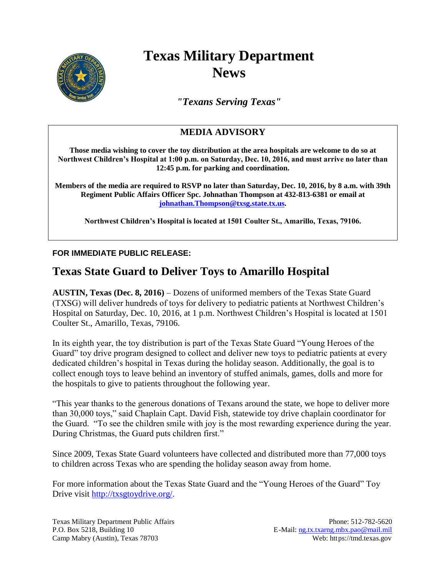

## **Texas Military Department News**

*"Texans Serving Texas"*

## **MEDIA ADVISORY**

**Those media wishing to cover the toy distribution at the area hospitals are welcome to do so at Northwest Children's Hospital at 1:00 p.m. on Saturday, Dec. 10, 2016, and must arrive no later than 12:45 p.m. for parking and coordination.** 

**Members of the media are required to RSVP no later than Saturday, Dec. 10, 2016, by 8 a.m. with 39th Regiment Public Affairs Officer Spc. Johnathan Thompson at 432-813-6381 or email at [johnathan.Thompson@txsg.state.tx.us.](mailto:johnathan.Thompson@txsg.state.tx.us)**

**Northwest Children's Hospital is located at 1501 Coulter St., Amarillo, Texas, 79106.**

## **FOR IMMEDIATE PUBLIC RELEASE:**

## **Texas State Guard to Deliver Toys to Amarillo Hospital**

**AUSTIN, Texas (Dec. 8, 2016)** – Dozens of uniformed members of the Texas State Guard (TXSG) will deliver hundreds of toys for delivery to pediatric patients at Northwest Children's Hospital on Saturday, Dec. 10, 2016, at 1 p.m. Northwest Children's Hospital is located at 1501 Coulter St., Amarillo, Texas, 79106.

In its eighth year, the toy distribution is part of the Texas State Guard "Young Heroes of the Guard" toy drive program designed to collect and deliver new toys to pediatric patients at every dedicated children's hospital in Texas during the holiday season. Additionally, the goal is to collect enough toys to leave behind an inventory of stuffed animals, games, dolls and more for the hospitals to give to patients throughout the following year.

"This year thanks to the generous donations of Texans around the state, we hope to deliver more than 30,000 toys," said Chaplain Capt. David Fish, statewide toy drive chaplain coordinator for the Guard. "To see the children smile with joy is the most rewarding experience during the year. During Christmas, the Guard puts children first."

Since 2009, Texas State Guard volunteers have collected and distributed more than 77,000 toys to children across Texas who are spending the holiday season away from home.

For more information about the Texas State Guard and the "Young Heroes of the Guard" Toy Drive visit [http://txsgtoydrive.org/.](http://txsgtoydrive.org/)

Texas Military Department Public Affairs Phone: 512-782-5620 P.O. Box 5218, Building 10 E-Mail: [ng.tx.txarng.mbx.pao@mail.mil](mailto:ng.tx.txarng.mbx.pao@mail.mil) Camp Mabry (Austin), Texas 78703 Web: https://tmd.texas.gov